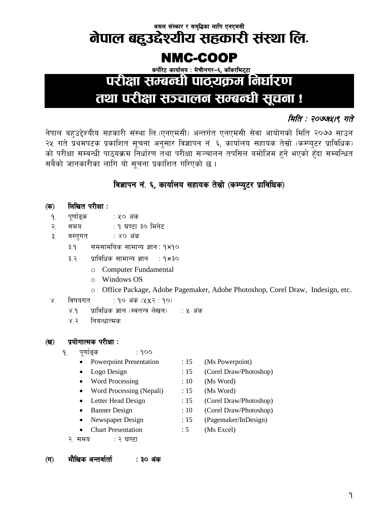#### असल संस्कार र समृ<mark>द्धिका लागि एनएमसी</mark>

# नेपाल बहुउद्देश्यीय सहकारी संस्था लि.

### NMC-COOP

कर्पोरेट कार्यालय: मेचीनगर-६, काँकरभिट्टा

## परीक्षा सम्बन्धी पाठ्यक्रम निर्धारण

## तथा परीक्षा सञ्चालन सम्बन्धी सूचना !

### मिति : २०७७५१९ गते

नेपाल बहुउद्देश्यीय सहकारी संस्था लि.(एनएमसी) अन्तर्गत एनएमसी सेवा आयोगको मिति २०७७ साउन २५ गते प्रथमपटक प्रकाशित सूचना अनुसार विज्ञापन नं. ६, कार्यालय सहायक तेस्रो (कम्प्युटर प्राविधिक) को परीक्षा सम्बन्धी पाठुयक्रम निर्धारण तथा परीक्षा सञ्चालन तपसिल बमोजिम हुने भएको हुँदा सम्बन्धित सबैको जानकारीका लागि यो सचना प्रकाशित गरिएको छ।

### विज्ञापन नं. ६. कार्यालय सहायक तेस्रो (कम्प्यूटर प्राविधिक)

#### लिखित परीक्षा : (क)

- पूर्णाङ्क : ५० अंक  $9.$
- $\mathcal{R}_{\cdot}$ समय : १ घण्टा ३० मिनेट
- $\mathbf{R}$ वस्तुगत : ४० अंक
	- समसामयिक सामान्य ज्ञान: १×१०  $9.5$
	- ३.२ प्राविधिक सामान्य ज्ञान  $\rightarrow$  9×30
		- o Computer Fundamental
		- $\circ$  Windows OS
		- o Office Package, Adobe Pagemaker, Adobe Photoshop, Corel Draw, Indesign, etc.
- $X_{\perp}$ विषयगत : १० अंक (५x२ : १०)
	- प्राविधिक ज्ञान (स्वतन्त्र लेखन) ः ५ अंक  $X.9$

 $:900$ 

 $8.3$ निबन्धात्मक

#### प्रयोगात्मक परीक्षा :  $\left(\overline{q}\right)$

- पर्णाङक  $9.$ 
	- **Powerpoint Presentation**  $\bullet$
	- Logo Design
	- Word Processing
	- Word Processing (Nepali)
	- Letter Head Design
	- **Banner Design**
	- Newspaper Design
	- $\bullet$ **Chart Presentation**
	- २. समय : २ घण्टा
- $:15$ (Ms Powerpoint)
- $:15$ (Corel Draw/Photoshop)
- $:10$ (Ms Word)
- $:15$ (Ms Word)
- $:15$ (Corel Draw/Photoshop)
- $:10$ (Corel Draw/Photoshop)
- $:15$ (Pagemaker/InDesign)
- $:5$ (Ms Excel)

मौखिक अन्तर्वार्ता  $(\overline{\mathbf{u}})$ : ३० अंक